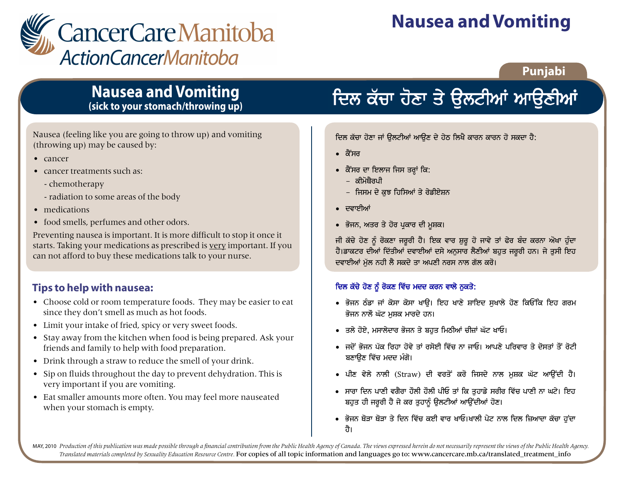

## **Nausea and Vomiting**

## Punjabi

## **Nausea and Vomiting** (sick to your stomach/throwing up)

Nausea (feeling like you are going to throw up) and vomiting (throwing up) may be caused by:

- $\bullet$  cancer
- cancer treatments such as:
	- chemotherapy
	- radiation to some areas of the body
- medications
- food smells, perfumes and other odors.

Preventing nausea is important. It is more difficult to stop it once it starts. Taking your medications as prescribed is very important. If you can not afford to buy these medications talk to your nurse.

## Tips to help with nausea:

- Choose cold or room temperature foods. They may be easier to eat since they don't smell as much as hot foods.
- Limit your intake of fried, spicy or very sweet foods.
- Stay away from the kitchen when food is being prepared. Ask your friends and family to help with food preparation.
- Drink through a straw to reduce the smell of your drink.
- Sip on fluids throughout the day to prevent dehydration. This is very important if you are vomiting.
- Eat smaller amounts more often. You may feel more nauseated when your stomach is empty.

# ਦਿਲ ਕੱਚਾ ਹੋਣਾ ਤੇ ਉਲਟੀਆਂ ਆਉਣੀਆਂ

ਦਿਲ ਕੱਚਾ ਹੋਣਾ ਜਾਂ ੳਲਟੀਆਂ ਆੳਣ ਦੇ ਹੇਠ ਲਿਖੈ ਕਾਰਨ ਕਾਰਨ ਹੋ ਸਕਦਾ ਹੈ:

- ਕੈਂਸਰ
- ਕੈਂਸਰ ਦਾ ਇਲਾਜ ਜਿਸ ਤਰ੍ਹਾਂ ਕਿ:
	- ਕੀਮੋਸ਼ੈਰਪੀ
	- ਜਿਸਮ ਦੇ ਕਝ ਹਿਸਿਆਂ ਤੇ ਰੇਡੀਏਸ਼ਨ
- ∙ ਦਵਾਈਆਂ
- ਭੋਜਨ, ਅਤਰ ਤੇ ਹੋਰ ਪਕਾਰ ਦੀ ਮੁਸ਼ਕ।

ਜੀ ਕੱਚੇ ਹੋਣ ਨੂੰ ਰੋਕਣਾ ਜਰੂਰੀ ਹੈ। ਇਕ ਵਾਰ ਸ਼ੁਰੂ ਹੋ ਜਾਵੇ ਤਾਂ ਫੇਰ ਬੰਦ ਕਰਨਾ ਔਖਾ ਹੁੰਦਾ ਹੈ।ਡਾਕਟਰ ਦੀਆਂ ਦਿੱਤੀਆਂ ਦਵਾਈਆਂ ਦਸੇ ਅਨੁਸਾਰ ਲੈਣੀਆਂ ਬਹੁਤ ਜਰੂਰੀ ਹਨ। ਜੇ ਤੁਸੀ ਇਹ ਦਵਾਈਆਂ ਮੱਲ ਨਹੀ ਲੈ ਸਕਦੇ ਤਾ ਅਪਣੀ ਨਰਸ ਨਾਲ ਗੱਲ ਕਰੋ।

### ਦਿਲ ਕੱਚੇ ਹੋਣ ਨੂੰ ਰੋਕਣ ਵਿੱਚ ਮਦਦ ਕਰਨ ਵਾਲੇ ਨੁਕਤੇ:

- ਭੋਜਨ ਠੰਡਾ ਜਾਂ ਕੋਸਾ ਕੋਸਾ ਖਾੳ। ਇਹ ਖਾਣੇ ਸ਼ਾਇਦ ਸਖਾਲੇ ਹੋਣ ਕਿਓਂਕਿ ਇਹ ਗਰਮ ਭੋਜਨ ਨਾਲੋਂ ਘੱਟ ਮਸ਼ਕ ਮਾਰਦੇ ਹਨ।
- ਤਲੇ ਹੋਏ, ਮਸਾਲੇਦਾਰ ਭੋਜਨ ਤੇ ਬਹਤ ਮਿਠੀਆਂ ਚੀਜ਼ਾਂ ਘੱਟ ਖਾਓ।
- ਜਦੋਂ ਭੋਜਨ ਪੱਕ ਰਿਹਾ ਹੋਵੇ ਤਾਂ ਰਸੋਈ ਵਿੱਚ ਨਾ ਜਾਓ। ਆਪਣੇ ਪਰਿਵਾਰ ਤੇ ਦੋਸਤਾਂ ਤੋਂ ਰੋਟੀ ਬਣਾਉਣ ਵਿੱਚ ਮਦਦ ਮੰਗੋ।
- ਪੀਣ ਵੇਲੇ ਨਾਲੀ (Straw) ਦੀ ਵਰਤੋਂ ਕਰੋ ਜਿਸਦੇ ਨਾਲ ਮੁਸ਼ਕ ਘੱਟ ਆਉਂਦੀ ਹੈ।
- ਸਾਰਾ ਦਿਨ ਪਾਣੀ ਵਗੈਰਾ ਹੌਲੀ ਹੌਲੀ ਪੀਓ ਤਾਂ ਕਿ ਤੁਹਾਡੇ ਸਰੀਰ ਵਿੱਚ ਪਾਣੀ ਨਾ ਘਟੇ। ਇਹ ਬਹਤ ਹੀ ਜਰਰੀ ਹੈ ਜੇ ਕਰ ਤਹਾਨੰ ੳਲਟੀਆਂ ਆੳਂਦੀਆਂ ਹੋਣ।
- ਭੋਜਨ ਥੋੜਾ ਥੋੜਾ ਤੇ ਦਿਨ ਵਿੱਚ ਕਈ ਵਾਰ ਖਾਓ।ਖਾਲੀ ਪੇਟ ਨਾਲ ਦਿਲ ਜ਼ਿਆਦਾ ਕੱਚਾ ਹੁੰਦਾ तै।

MAY, 2010 Production of this publication was made possible through a financial contribution from the Public Health Agency of Canada. The views expressed herein do not necessarily represent the views of the Public Health Ag Translated materials completed by Sexuality Education Resource Centre. For copies of all topic information and languages go to: www.cancercare.mb.ca/translated treatment info